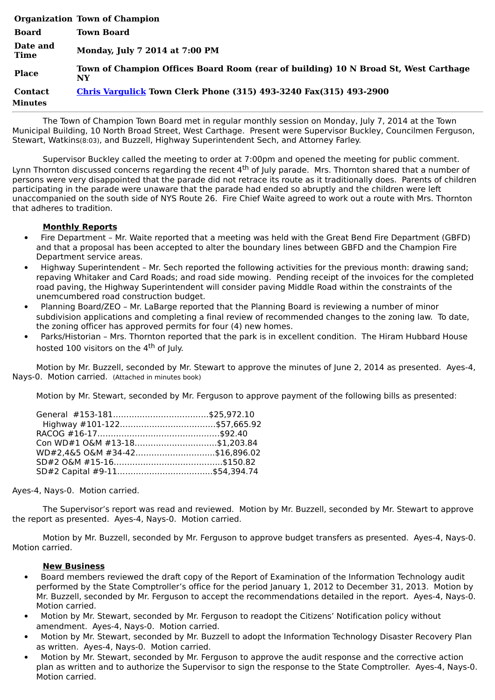|                           | <b>Organization Town of Champion</b>                                                      |
|---------------------------|-------------------------------------------------------------------------------------------|
| <b>Board</b>              | <b>Town Board</b>                                                                         |
| Date and<br><b>Time</b>   | Monday, July 7 2014 at 7:00 PM                                                            |
| <b>Place</b>              | Town of Champion Offices Board Room (rear of building) 10 N Broad St, West Carthage<br>NY |
| <b>Contact</b><br>Minutes | <b>Chris Vargulick Town Clerk Phone (315) 493-3240 Fax(315) 493-2900</b>                  |

The Town of Champion Town Board met in regular monthly session on Monday, July 7, 2014 at the Town Municipal Building, 10 North Broad Street, West Carthage. Present were Supervisor Buckley, Councilmen Ferguson, Stewart, Watkins(8:03), and Buzzell, Highway Superintendent Sech, and Attorney Farley.

Supervisor Buckley called the meeting to order at 7:00pm and opened the meeting for public comment. Lynn Thornton discussed concerns regarding the recent 4<sup>th</sup> of July parade. Mrs. Thornton shared that a number of persons were very disappointed that the parade did not retrace its route as it traditionally does. Parents of children participating in the parade were unaware that the parade had ended so abruptly and the children were left unaccompanied on the south side of NYS Route 26. Fire Chief Waite agreed to work out a route with Mrs. Thornton that adheres to tradition.

## **Monthly Reports**

- · Fire Department Mr. Waite reported that a meeting was held with the Great Bend Fire Department (GBFD) and that a proposal has been accepted to alter the boundary lines between GBFD and the Champion Fire Department service areas.
- · Highway Superintendent Mr. Sech reported the following activities for the previous month: drawing sand; repaving Whitaker and Card Roads; and road side mowing. Pending receipt of the invoices for the completed road paving, the Highway Superintendent will consider paving Middle Road within the constraints of the unemcumbered road construction budget.
- · Planning Board/ZEO Mr. LaBarge reported that the Planning Board is reviewing a number of minor subdivision applications and completing a final review of recommended changes to the zoning law. To date, the zoning officer has approved permits for four (4) new homes.
- Parks/Historian Mrs. Thornton reported that the park is in excellent condition. The Hiram Hubbard House hosted 100 visitors on the 4<sup>th</sup> of July.

Motion by Mr. Buzzell, seconded by Mr. Stewart to approve the minutes of June 2, 2014 as presented. Ayes-4, Nays-0. Motion carried. (Attached in minutes book)

Motion by Mr. Stewart, seconded by Mr. Ferguson to approve payment of the following bills as presented:

| Con WD#1 O&M #13-18\$1,203.84  |  |
|--------------------------------|--|
| WD#2,4&5 O&M #34-42\$16,896.02 |  |
|                                |  |
|                                |  |

Ayes-4, Nays-0. Motion carried.

The Supervisor's report was read and reviewed. Motion by Mr. Buzzell, seconded by Mr. Stewart to approve the report as presented. Ayes-4, Nays-0. Motion carried.

Motion by Mr. Buzzell, seconded by Mr. Ferguson to approve budget transfers as presented. Ayes-4, Nays-0. Motion carried.

## **New Business**

- Board members reviewed the draft copy of the Report of Examination of the Information Technology audit performed by the State Comptroller's office for the period January 1, 2012 to December 31, 2013. Motion by Mr. Buzzell, seconded by Mr. Ferguson to accept the recommendations detailed in the report. Ayes-4, Nays-0. Motion carried.
- · Motion by Mr. Stewart, seconded by Mr. Ferguson to readopt the Citizens' Notification policy without amendment. Ayes-4, Nays-0. Motion carried.
- · Motion by Mr. Stewart, seconded by Mr. Buzzell to adopt the Information Technology Disaster Recovery Plan as written. Ayes-4, Nays-0. Motion carried.
- Motion by Mr. Stewart, seconded by Mr. Ferguson to approve the audit response and the corrective action plan as written and to authorize the Supervisor to sign the response to the State Comptroller. Ayes-4, Nays-0. Motion carried.